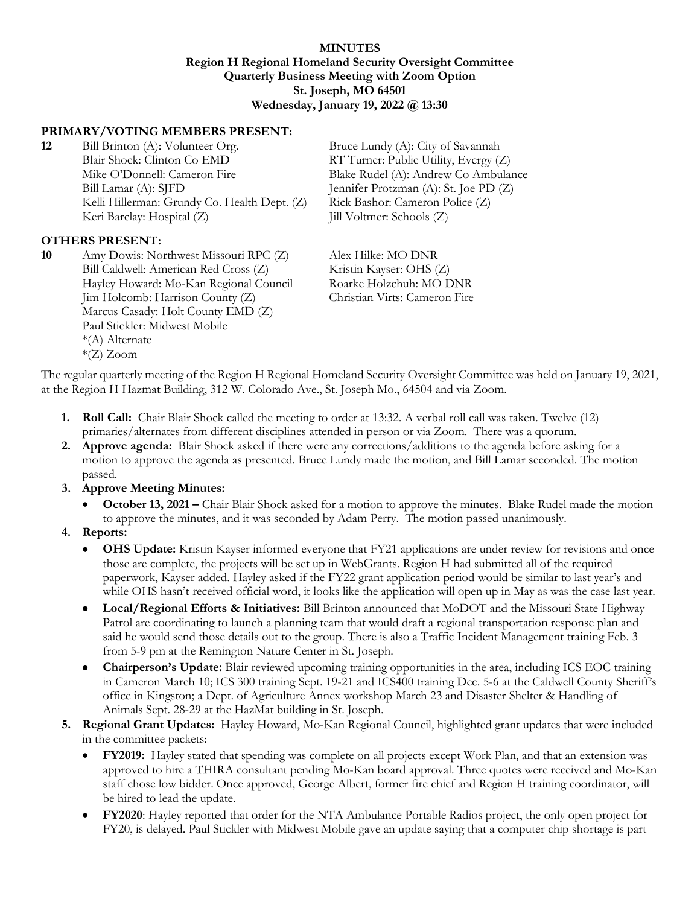#### **MINUTES Region H Regional Homeland Security Oversight Committee Quarterly Business Meeting with Zoom Option St. Joseph, MO 64501 Wednesday, January 19, 2022 @ 13:30**

### **PRIMARY/VOTING MEMBERS PRESENT:**

**12** Bill Brinton (A): Volunteer Org. Bruce Lundy (A): City of Savannah Blair Shock: Clinton Co EMD RT Turner: Public Utility, Evergy (Z) Mike O'Donnell: Cameron Fire Blake Rudel (A): Andrew Co Ambulance Bill Lamar (A): SJFD Jennifer Protzman (A): St. Joe PD (Z) Kelli Hillerman: Grundy Co. Health Dept. (Z) Rick Bashor: Cameron Police (Z) Keri Barclay: Hospital (Z) Jill Voltmer: Schools (Z)

#### **OTHERS PRESENT:**

**10** Amy Dowis: Northwest Missouri RPC (Z) Alex Hilke: MO DNR Bill Caldwell: American Red Cross (Z) Kristin Kayser: OHS (Z) Hayley Howard: Mo-Kan Regional Council Roarke Holzchuh: MO DNR Jim Holcomb: Harrison County (Z) Christian Virts: Cameron Fire Marcus Casady: Holt County EMD (Z) Paul Stickler: Midwest Mobile \*(A) Alternate \*(Z) Zoom

The regular quarterly meeting of the Region H Regional Homeland Security Oversight Committee was held on January 19, 2021, at the Region H Hazmat Building, 312 W. Colorado Ave., St. Joseph Mo., 64504 and via Zoom.

- **1. Roll Call:** Chair Blair Shock called the meeting to order at 13:32. A verbal roll call was taken. Twelve (12) primaries/alternates from different disciplines attended in person or via Zoom. There was a quorum.
- **2. Approve agenda:** Blair Shock asked if there were any corrections/additions to the agenda before asking for a motion to approve the agenda as presented. Bruce Lundy made the motion, and Bill Lamar seconded. The motion passed.
- **3. Approve Meeting Minutes:**
	- **October 13, 2021 –** Chair Blair Shock asked for a motion to approve the minutes. Blake Rudel made the motion to approve the minutes, and it was seconded by Adam Perry. The motion passed unanimously.
- **4. Reports:**
	- **OHS Update:** Kristin Kayser informed everyone that FY21 applications are under review for revisions and once those are complete, the projects will be set up in WebGrants. Region H had submitted all of the required paperwork, Kayser added. Hayley asked if the FY22 grant application period would be similar to last year's and while OHS hasn't received official word, it looks like the application will open up in May as was the case last year.
	- **Local/Regional Efforts & Initiatives:** Bill Brinton announced that MoDOT and the Missouri State Highway Patrol are coordinating to launch a planning team that would draft a regional transportation response plan and said he would send those details out to the group. There is also a Traffic Incident Management training Feb. 3 from 5-9 pm at the Remington Nature Center in St. Joseph.
	- **Chairperson's Update:** Blair reviewed upcoming training opportunities in the area, including ICS EOC training in Cameron March 10; ICS 300 training Sept. 19-21 and ICS400 training Dec. 5-6 at the Caldwell County Sheriff's office in Kingston; a Dept. of Agriculture Annex workshop March 23 and Disaster Shelter & Handling of Animals Sept. 28-29 at the HazMat building in St. Joseph.
- **5. Regional Grant Updates:** Hayley Howard, Mo-Kan Regional Council, highlighted grant updates that were included in the committee packets:
	- **FY2019:** Hayley stated that spending was complete on all projects except Work Plan, and that an extension was approved to hire a THIRA consultant pending Mo-Kan board approval. Three quotes were received and Mo-Kan staff chose low bidder. Once approved, George Albert, former fire chief and Region H training coordinator, will be hired to lead the update.
	- **FY2020**: Hayley reported that order for the NTA Ambulance Portable Radios project, the only open project for FY20, is delayed. Paul Stickler with Midwest Mobile gave an update saying that a computer chip shortage is part